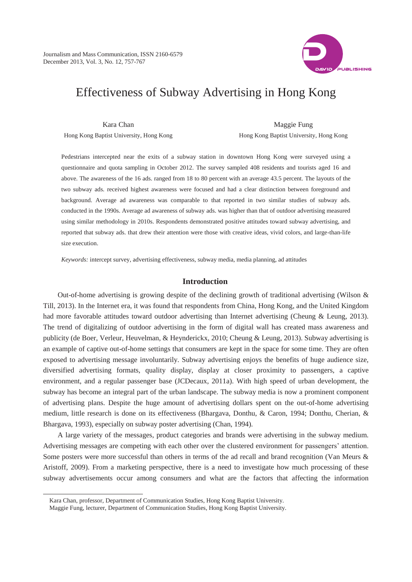

# Effectiveness of Subway Advertising in Hong Kong

Kara Chan Hong Kong Baptist University, Hong Kong

Maggie Fung Hong Kong Baptist University, Hong Kong

Pedestrians intercepted near the exits of a subway station in downtown Hong Kong were surveyed using a questionnaire and quota sampling in October 2012. The survey sampled 408 residents and tourists aged 16 and above. The awareness of the 16 ads. ranged from 18 to 80 percent with an average 43.5 percent. The layouts of the two subway ads. received highest awareness were focused and had a clear distinction between foreground and background. Average ad awareness was comparable to that reported in two similar studies of subway ads. conducted in the 1990s. Average ad awareness of subway ads. was higher than that of outdoor advertising measured using similar methodology in 2010s. Respondents demonstrated positive attitudes toward subway advertising, and reported that subway ads. that drew their attention were those with creative ideas, vivid colors, and large-than-life size execution.

*Keywords:* intercept survey, advertising effectiveness, subway media, media planning, ad attitudes

# **Introduction**

Out-of-home advertising is growing despite of the declining growth of traditional advertising (Wilson & Till, 2013). In the Internet era, it was found that respondents from China, Hong Kong, and the United Kingdom had more favorable attitudes toward outdoor advertising than Internet advertising (Cheung & Leung, 2013). The trend of digitalizing of outdoor advertising in the form of digital wall has created mass awareness and publicity (de Boer, Verleur, Heuvelman, & Heynderickx, 2010; Cheung & Leung, 2013). Subway advertising is an example of captive out-of-home settings that consumers are kept in the space for some time. They are often exposed to advertising message involuntarily. Subway advertising enjoys the benefits of huge audience size, diversified advertising formats, quality display, display at closer proximity to passengers, a captive environment, and a regular passenger base (JCDecaux, 2011a). With high speed of urban development, the subway has become an integral part of the urban landscape. The subway media is now a prominent component of advertising plans. Despite the huge amount of advertising dollars spent on the out-of-home advertising medium, little research is done on its effectiveness (Bhargava, Donthu, & Caron, 1994; Donthu, Cherian, & Bhargava, 1993), especially on subway poster advertising (Chan, 1994).

A large variety of the messages, product categories and brands were advertising in the subway medium. Advertising messages are competing with each other over the clustered environment for passengers' attention. Some posters were more successful than others in terms of the ad recall and brand recognition (Van Meurs & Aristoff, 2009). From a marketing perspective, there is a need to investigate how much processing of these subway advertisements occur among consumers and what are the factors that affecting the information

 $\overline{a}$ 

Kara Chan, professor, Department of Communication Studies, Hong Kong Baptist University.

Maggie Fung, lecturer, Department of Communication Studies, Hong Kong Baptist University.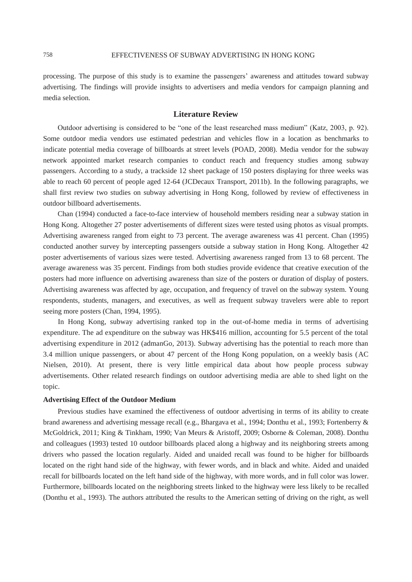processing. The purpose of this study is to examine the passengers' awareness and attitudes toward subway advertising. The findings will provide insights to advertisers and media vendors for campaign planning and media selection.

# **Literature Review**

Outdoor advertising is considered to be "one of the least researched mass medium" (Katz, 2003, p. 92). Some outdoor media vendors use estimated pedestrian and vehicles flow in a location as benchmarks to indicate potential media coverage of billboards at street levels (POAD, 2008). Media vendor for the subway network appointed market research companies to conduct reach and frequency studies among subway passengers. According to a study, a trackside 12 sheet package of 150 posters displaying for three weeks was able to reach 60 percent of people aged 12-64 (JCDecaux Transport, 2011b). In the following paragraphs, we shall first review two studies on subway advertising in Hong Kong, followed by review of effectiveness in outdoor billboard advertisements.

Chan (1994) conducted a face-to-face interview of household members residing near a subway station in Hong Kong. Altogether 27 poster advertisements of different sizes were tested using photos as visual prompts. Advertising awareness ranged from eight to 73 percent. The average awareness was 41 percent. Chan (1995) conducted another survey by intercepting passengers outside a subway station in Hong Kong. Altogether 42 poster advertisements of various sizes were tested. Advertising awareness ranged from 13 to 68 percent. The average awareness was 35 percent. Findings from both studies provide evidence that creative execution of the posters had more influence on advertising awareness than size of the posters or duration of display of posters. Advertising awareness was affected by age, occupation, and frequency of travel on the subway system. Young respondents, students, managers, and executives, as well as frequent subway travelers were able to report seeing more posters (Chan, 1994, 1995).

In Hong Kong, subway advertising ranked top in the out-of-home media in terms of advertising expenditure. The ad expenditure on the subway was HK\$416 million, accounting for 5.5 percent of the total advertising expenditure in 2012 (admanGo, 2013). Subway advertising has the potential to reach more than 3.4 million unique passengers, or about 47 percent of the Hong Kong population, on a weekly basis (AC Nielsen, 2010). At present, there is very little empirical data about how people process subway advertisements. Other related research findings on outdoor advertising media are able to shed light on the topic.

## **Advertising Effect of the Outdoor Medium**

Previous studies have examined the effectiveness of outdoor advertising in terms of its ability to create brand awareness and advertising message recall (e.g., Bhargava et al., 1994; Donthu et al., 1993; Fortenberry & McGoldrick, 2011; King & Tinkham, 1990; Van Meurs & Aristoff, 2009; Osborne & Coleman, 2008). Donthu and colleagues (1993) tested 10 outdoor billboards placed along a highway and its neighboring streets among drivers who passed the location regularly. Aided and unaided recall was found to be higher for billboards located on the right hand side of the highway, with fewer words, and in black and white. Aided and unaided recall for billboards located on the left hand side of the highway, with more words, and in full color was lower. Furthermore, billboards located on the neighboring streets linked to the highway were less likely to be recalled (Donthu et al., 1993). The authors attributed the results to the American setting of driving on the right, as well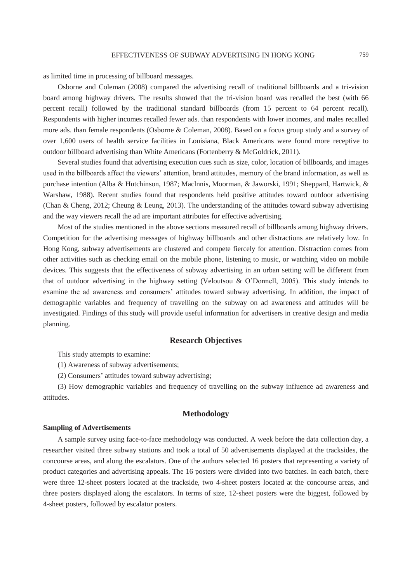as limited time in processing of billboard messages.

Osborne and Coleman (2008) compared the advertising recall of traditional billboards and a tri-vision board among highway drivers. The results showed that the tri-vision board was recalled the best (with 66 percent recall) followed by the traditional standard billboards (from 15 percent to 64 percent recall). Respondents with higher incomes recalled fewer ads. than respondents with lower incomes, and males recalled more ads. than female respondents (Osborne & Coleman, 2008). Based on a focus group study and a survey of over 1,600 users of health service facilities in Louisiana, Black Americans were found more receptive to outdoor billboard advertising than White Americans (Fortenberry & McGoldrick, 2011).

Several studies found that advertising execution cues such as size, color, location of billboards, and images used in the billboards affect the viewers' attention, brand attitudes, memory of the brand information, as well as purchase intention (Alba & Hutchinson, 1987; Maclnnis, Moorman, & Jaworski, 1991; Sheppard, Hartwick, & Warshaw, 1988). Recent studies found that respondents held positive attitudes toward outdoor advertising (Chan & Cheng, 2012; Cheung & Leung, 2013). The understanding of the attitudes toward subway advertising and the way viewers recall the ad are important attributes for effective advertising.

Most of the studies mentioned in the above sections measured recall of billboards among highway drivers. Competition for the advertising messages of highway billboards and other distractions are relatively low. In Hong Kong, subway advertisements are clustered and compete fiercely for attention. Distraction comes from other activities such as checking email on the mobile phone, listening to music, or watching video on mobile devices. This suggests that the effectiveness of subway advertising in an urban setting will be different from that of outdoor advertising in the highway setting (Veloutsou & O'Donnell, 2005). This study intends to examine the ad awareness and consumers' attitudes toward subway advertising. In addition, the impact of demographic variables and frequency of travelling on the subway on ad awareness and attitudes will be investigated. Findings of this study will provide useful information for advertisers in creative design and media planning.

## **Research Objectives**

This study attempts to examine:

(1) Awareness of subway advertisements;

(2) Consumers' attitudes toward subway advertising;

(3) How demographic variables and frequency of travelling on the subway influence ad awareness and attitudes.

# **Methodology**

#### **Sampling of Advertisements**

A sample survey using face-to-face methodology was conducted. A week before the data collection day, a researcher visited three subway stations and took a total of 50 advertisements displayed at the tracksides, the concourse areas, and along the escalators. One of the authors selected 16 posters that representing a variety of product categories and advertising appeals. The 16 posters were divided into two batches. In each batch, there were three 12-sheet posters located at the trackside, two 4-sheet posters located at the concourse areas, and three posters displayed along the escalators. In terms of size, 12-sheet posters were the biggest, followed by 4-sheet posters, followed by escalator posters.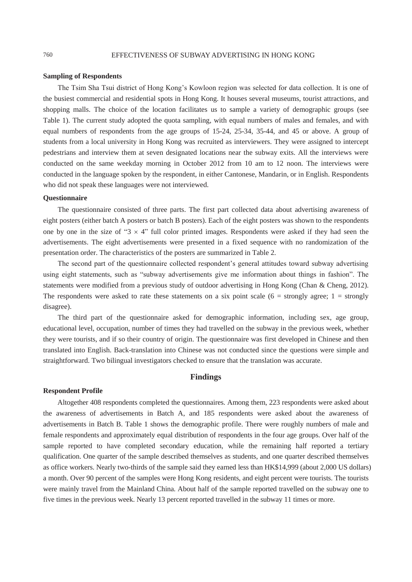#### **Sampling of Respondents**

The Tsim Sha Tsui district of Hong Kong's Kowloon region was selected for data collection. It is one of the busiest commercial and residential spots in Hong Kong. It houses several museums, tourist attractions, and shopping malls. The choice of the location facilitates us to sample a variety of demographic groups (see Table 1). The current study adopted the quota sampling, with equal numbers of males and females, and with equal numbers of respondents from the age groups of 15-24, 25-34, 35-44, and 45 or above. A group of students from a local university in Hong Kong was recruited as interviewers. They were assigned to intercept pedestrians and interview them at seven designated locations near the subway exits. All the interviews were conducted on the same weekday morning in October 2012 from 10 am to 12 noon. The interviews were conducted in the language spoken by the respondent, in either Cantonese, Mandarin, or in English. Respondents who did not speak these languages were not interviewed.

#### **Questionnaire**

The questionnaire consisted of three parts. The first part collected data about advertising awareness of eight posters (either batch A posters or batch B posters). Each of the eight posters was shown to the respondents one by one in the size of " $3 \times 4$ " full color printed images. Respondents were asked if they had seen the advertisements. The eight advertisements were presented in a fixed sequence with no randomization of the presentation order. The characteristics of the posters are summarized in Table 2.

The second part of the questionnaire collected respondent's general attitudes toward subway advertising using eight statements, such as "subway advertisements give me information about things in fashion". The statements were modified from a previous study of outdoor advertising in Hong Kong (Chan & Cheng, 2012). The respondents were asked to rate these statements on a six point scale  $(6 =$  strongly agree;  $1 =$  strongly disagree).

The third part of the questionnaire asked for demographic information, including sex, age group, educational level, occupation, number of times they had travelled on the subway in the previous week, whether they were tourists, and if so their country of origin. The questionnaire was first developed in Chinese and then translated into English. Back-translation into Chinese was not conducted since the questions were simple and straightforward. Two bilingual investigators checked to ensure that the translation was accurate.

# **Findings**

#### **Respondent Profile**

Altogether 408 respondents completed the questionnaires. Among them, 223 respondents were asked about the awareness of advertisements in Batch A, and 185 respondents were asked about the awareness of advertisements in Batch B. Table 1 shows the demographic profile. There were roughly numbers of male and female respondents and approximately equal distribution of respondents in the four age groups. Over half of the sample reported to have completed secondary education, while the remaining half reported a tertiary qualification. One quarter of the sample described themselves as students, and one quarter described themselves as office workers. Nearly two-thirds of the sample said they earned less than HK\$14,999 (about 2,000 US dollars) a month. Over 90 percent of the samples were Hong Kong residents, and eight percent were tourists. The tourists were mainly travel from the Mainland China. About half of the sample reported travelled on the subway one to five times in the previous week. Nearly 13 percent reported travelled in the subway 11 times or more.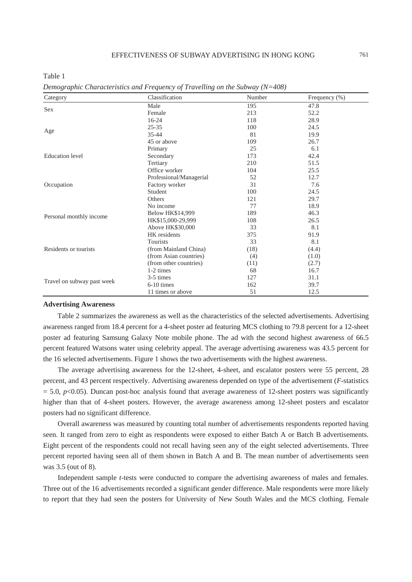Table 1

| Category                   | Classification          | Number | Frequency (%) |  |
|----------------------------|-------------------------|--------|---------------|--|
|                            | Male                    | 195    | 47.8          |  |
| <b>Sex</b>                 | Female                  | 213    | 52.2          |  |
| Age                        | $16-24$                 | 118    | 28.9          |  |
|                            | $25 - 35$               | 100    | 24.5          |  |
|                            | $35 - 44$               | 81     | 19.9          |  |
|                            | 45 or above             | 109    | 26.7          |  |
|                            | Primary                 | 25     | 6.1           |  |
| <b>Education</b> level     | Secondary               | 173    | 42.4          |  |
|                            | Tertiary                | 210    | 51.5          |  |
|                            | Office worker           | 104    | 25.5          |  |
|                            | Professional/Managerial | 52     | 12.7          |  |
| Occupation                 | Factory worker          | 31     | 7.6           |  |
|                            | Student                 | 100    | 24.5          |  |
|                            | Others                  | 121    | 29.7          |  |
|                            | No income               | 77     | 18.9          |  |
|                            | <b>Below HK\$14,999</b> | 189    | 46.3          |  |
| Personal monthly income    | HK\$15,000-29,999       | 108    | 26.5          |  |
|                            | Above HK\$30,000        | 33     | 8.1           |  |
| Residents or tourists      | HK residents            | 375    | 91.9          |  |
|                            | Tourists                | 33     | 8.1           |  |
|                            | (from Mainland China)   | (18)   | (4.4)         |  |
|                            | (from Asian countries)  | (4)    | (1.0)         |  |
|                            | (from other countries)  | (11)   | (2.7)         |  |
|                            | 1-2 times               | 68     | 16.7          |  |
|                            | 3-5 times               | 127    | 31.1          |  |
| Travel on subway past week | 6-10 times              | 162    | 39.7          |  |
|                            | 11 times or above       | 51     | 12.5          |  |

*Demographic Characteristics and Frequency of Travelling on the Subway (N=408)* 

#### **Advertising Awareness**

Table 2 summarizes the awareness as well as the characteristics of the selected advertisements. Advertising awareness ranged from 18.4 percent for a 4-sheet poster ad featuring MCS clothing to 79.8 percent for a 12-sheet poster ad featuring Samsung Galaxy Note mobile phone. The ad with the second highest awareness of 66.5 percent featured Watsons water using celebrity appeal. The average advertising awareness was 43.5 percent for the 16 selected advertisements. Figure 1 shows the two advertisements with the highest awareness.

The average advertising awareness for the 12-sheet, 4-sheet, and escalator posters were 55 percent, 28 percent, and 43 percent respectively. Advertising awareness depended on type of the advertisement (*F*-statistics  $= 5.0$ ,  $p<0.05$ ). Duncan post-hoc analysis found that average awareness of 12-sheet posters was significantly higher than that of 4-sheet posters. However, the average awareness among 12-sheet posters and escalator posters had no significant difference.

Overall awareness was measured by counting total number of advertisements respondents reported having seen. It ranged from zero to eight as respondents were exposed to either Batch A or Batch B advertisements. Eight percent of the respondents could not recall having seen any of the eight selected advertisements. Three percent reported having seen all of them shown in Batch A and B. The mean number of advertisements seen was 3.5 (out of 8).

Independent sample *t*-tests were conducted to compare the advertising awareness of males and females. Three out of the 16 advertisements recorded a significant gender difference. Male respondents were more likely to report that they had seen the posters for University of New South Wales and the MCS clothing. Female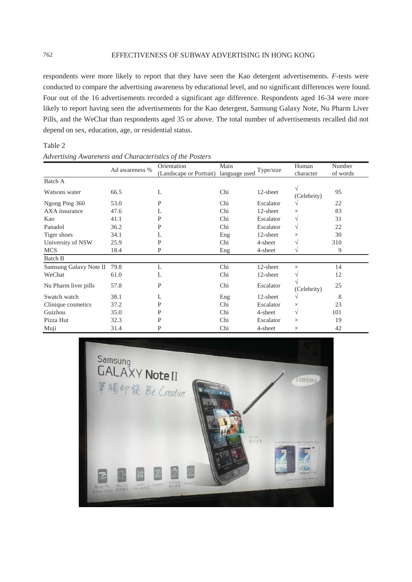respondents were more likely to report that they have seen the Kao detergent advertisements. *F*-tests were conducted to compare the advertising awareness by educational level, and no significant differences were found. Four out of the 16 advertisements recorded a significant age difference. Respondents aged 16-34 were more likely to report having seen the advertisements for the Kao detergent, Samsung Galaxy Note, Nu Pharm Liver Pills, and the WeChat than respondents aged 35 or above. The total number of advertisements recalled did not depend on sex, education, age, or residential status.

| Table 2 |                                                          |
|---------|----------------------------------------------------------|
|         | Advertising Awareness and Characteristics of the Posters |

|                        | Ad awareness % | Orientation<br>(Landscape or Portrait) | Main<br>language used | Type/size | Human<br>character | Number<br>of words |
|------------------------|----------------|----------------------------------------|-----------------------|-----------|--------------------|--------------------|
| Batch A                |                |                                        |                       |           |                    |                    |
| Watsons water          | 66.5           | L                                      | Chi                   | 12-sheet  | V<br>(Celebrity)   | 95                 |
| Ngong Ping 360         | 53.0           | P                                      | Chi                   | Escalator | V                  | 22                 |
| AXA insurance          | 47.6           | L                                      | Chi                   | 12-sheet  | X                  | 83                 |
| Kao                    | 41.1           | P                                      | Chi                   | Escalator | V                  | 31                 |
| Panadol                | 36.2           | P                                      | Chi                   | Escalator | $\sqrt{}$          | 22                 |
| Tiger shoes            | 34.1           | L                                      | Eng                   | 12-sheet  | $\times$           | 30                 |
| University of NSW      | 25.9           | P                                      | Chi                   | 4-sheet   | V                  | 310                |
| <b>MCS</b>             | 18.4           | P                                      | Eng                   | 4-sheet   | V                  | 9                  |
| Batch B                |                |                                        |                       |           |                    |                    |
| Samsung Galaxy Note II | 79.8           | L                                      | Chi                   | 12-sheet  | X                  | 14                 |
| WeChat                 | 61.0           | L                                      | Chi                   | 12-sheet  | V                  | 12                 |
| Nu Pharm liver pills   | 57.8           | P                                      | Chi                   | Escalator | (Celebrity)        | 25                 |
| Swatch watch           | 38.1           | L                                      | Eng                   | 12-sheet  | V                  | 8                  |
| Clinique cosmetics     | 37.2           | P                                      | Chi                   | Escalator | $\times$           | 23                 |
| Guizhou                | 35.0           | P                                      | Chi                   | 4-sheet   | $\sqrt{}$          | 101                |
| Pizza Hut              | 32.3           | P                                      | Chi                   | Escalator | $\times$           | 19                 |
| Muji                   | 31.4           | P                                      | Chi                   | 4-sheet   | $\times$           | 42                 |

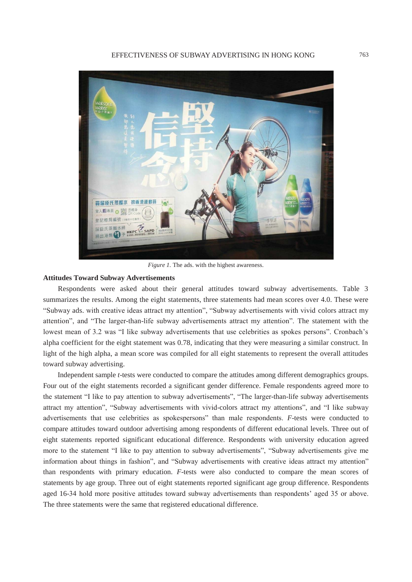

*Figure 1.* The ads. with the highest awareness.

# **Attitudes Toward Subway Advertisements**

Respondents were asked about their general attitudes toward subway advertisements. Table 3 summarizes the results. Among the eight statements, three statements had mean scores over 4.0. These were "Subway ads. with creative ideas attract my attention", "Subway advertisements with vivid colors attract my attention", and "The larger-than-life subway advertisements attract my attention". The statement with the lowest mean of 3.2 was "I like subway advertisements that use celebrities as spokes persons". Cronbach's alpha coefficient for the eight statement was 0.78, indicating that they were measuring a similar construct. In light of the high alpha, a mean score was compiled for all eight statements to represent the overall attitudes toward subway advertising.

Independent sample *t*-tests were conducted to compare the attitudes among different demographics groups. Four out of the eight statements recorded a significant gender difference. Female respondents agreed more to the statement "I like to pay attention to subway advertisements", "The larger-than-life subway advertisements attract my attention", "Subway advertisements with vivid-colors attract my attentions", and "I like subway advertisements that use celebrities as spokespersons" than male respondents. *F*-tests were conducted to compare attitudes toward outdoor advertising among respondents of different educational levels. Three out of eight statements reported significant educational difference. Respondents with university education agreed more to the statement "I like to pay attention to subway advertisements", "Subway advertisements give me information about things in fashion", and "Subway advertisements with creative ideas attract my attention" than respondents with primary education. *F*-tests were also conducted to compare the mean scores of statements by age group. Three out of eight statements reported significant age group difference. Respondents aged 16-34 hold more positive attitudes toward subway advertisements than respondents' aged 35 or above. The three statements were the same that registered educational difference.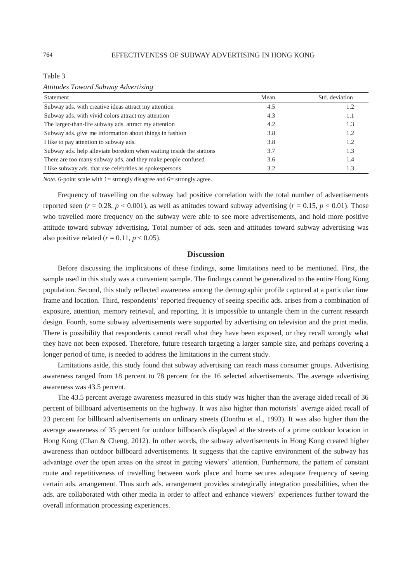Table 3

*Attitudes Toward Subway Advertising* 

| Statement                                                           | Mean | Std. deviation |  |
|---------------------------------------------------------------------|------|----------------|--|
| Subway ads, with creative ideas attract my attention                | 4.5  | 1.2            |  |
| Subway ads. with vivid colors attract my attention                  | 4.3  | 1.1            |  |
| The larger-than-life subway ads. attract my attention               | 4.2  | 1.3            |  |
| Subway ads. give me information about things in fashion             | 3.8  | 1.2            |  |
| I like to pay attention to subway ads.                              | 3.8  | 1.2            |  |
| Subway ads. help alleviate boredom when waiting inside the stations | 3.7  | 1.3            |  |
| There are too many subway ads, and they make people confused        | 3.6  | 1.4            |  |
| I like subway ads, that use celebrities as spokes persons           | 3.2  | 1.3            |  |

*Note.* 6-point scale with  $1 =$  strongly disagree and  $6 =$  strongly agree.

Frequency of travelling on the subway had positive correlation with the total number of advertisements reported seen  $(r = 0.28, p < 0.001)$ , as well as attitudes toward subway advertising  $(r = 0.15, p < 0.01)$ . Those who travelled more frequency on the subway were able to see more advertisements, and hold more positive attitude toward subway advertising. Total number of ads. seen and attitudes toward subway advertising was also positive related  $(r = 0.11, p < 0.05)$ .

## **Discussion**

Before discussing the implications of these findings, some limitations need to be mentioned. First, the sample used in this study was a convenient sample. The findings cannot be generalized to the entire Hong Kong population. Second, this study reflected awareness among the demographic profile captured at a particular time frame and location. Third, respondents' reported frequency of seeing specific ads. arises from a combination of exposure, attention, memory retrieval, and reporting. It is impossible to untangle them in the current research design. Fourth, some subway advertisements were supported by advertising on television and the print media. There is possibility that respondents cannot recall what they have been exposed, or they recall wrongly what they have not been exposed. Therefore, future research targeting a larger sample size, and perhaps covering a longer period of time, is needed to address the limitations in the current study.

Limitations aside, this study found that subway advertising can reach mass consumer groups. Advertising awareness ranged from 18 percent to 78 percent for the 16 selected advertisements. The average advertising awareness was 43.5 percent.

The 43.5 percent average awareness measured in this study was higher than the average aided recall of 36 percent of billboard advertisements on the highway. It was also higher than motorists' average aided recall of 23 percent for billboard advertisements on ordinary streets (Donthu et al., 1993). It was also higher than the average awareness of 35 percent for outdoor billboards displayed at the streets of a prime outdoor location in Hong Kong (Chan & Cheng, 2012). In other words, the subway advertisements in Hong Kong created higher awareness than outdoor billboard advertisements. It suggests that the captive environment of the subway has advantage over the open areas on the street in getting viewers' attention. Furthermore, the pattern of constant route and repetitiveness of travelling between work place and home secures adequate frequency of seeing certain ads. arrangement. Thus such ads. arrangement provides strategically integration possibilities, when the ads. are collaborated with other media in order to affect and enhance viewers' experiences further toward the overall information processing experiences.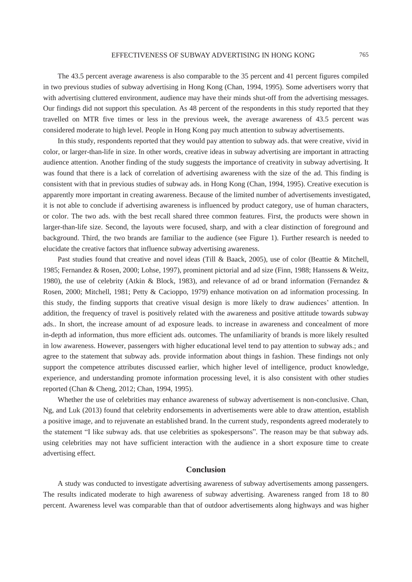The 43.5 percent average awareness is also comparable to the 35 percent and 41 percent figures compiled in two previous studies of subway advertising in Hong Kong (Chan, 1994, 1995). Some advertisers worry that with advertising cluttered environment, audience may have their minds shut-off from the advertising messages. Our findings did not support this speculation. As 48 percent of the respondents in this study reported that they travelled on MTR five times or less in the previous week, the average awareness of 43.5 percent was considered moderate to high level. People in Hong Kong pay much attention to subway advertisements.

In this study, respondents reported that they would pay attention to subway ads. that were creative, vivid in color, or larger-than-life in size. In other words, creative ideas in subway advertising are important in attracting audience attention. Another finding of the study suggests the importance of creativity in subway advertising. It was found that there is a lack of correlation of advertising awareness with the size of the ad. This finding is consistent with that in previous studies of subway ads. in Hong Kong (Chan, 1994, 1995). Creative execution is apparently more important in creating awareness. Because of the limited number of advertisements investigated, it is not able to conclude if advertising awareness is influenced by product category, use of human characters, or color. The two ads. with the best recall shared three common features. First, the products were shown in larger-than-life size. Second, the layouts were focused, sharp, and with a clear distinction of foreground and background. Third, the two brands are familiar to the audience (see Figure 1). Further research is needed to elucidate the creative factors that influence subway advertising awareness.

Past studies found that creative and novel ideas (Till & Baack, 2005), use of color (Beattie & Mitchell, 1985; Fernandez & Rosen, 2000; Lohse, 1997), prominent pictorial and ad size (Finn, 1988; Hanssens & Weitz, 1980), the use of celebrity (Atkin & Block, 1983), and relevance of ad or brand information (Fernandez & Rosen, 2000; Mitchell, 1981; Petty & Cacioppo, 1979) enhance motivation on ad information processing. In this study, the finding supports that creative visual design is more likely to draw audiences' attention. In addition, the frequency of travel is positively related with the awareness and positive attitude towards subway ads.. In short, the increase amount of ad exposure leads. to increase in awareness and concealment of more in-depth ad information, thus more efficient ads. outcomes. The unfamiliarity of brands is more likely resulted in low awareness. However, passengers with higher educational level tend to pay attention to subway ads.; and agree to the statement that subway ads. provide information about things in fashion. These findings not only support the competence attributes discussed earlier, which higher level of intelligence, product knowledge, experience, and understanding promote information processing level, it is also consistent with other studies reported (Chan & Cheng, 2012; Chan, 1994, 1995).

Whether the use of celebrities may enhance awareness of subway advertisement is non-conclusive. Chan, Ng, and Luk (2013) found that celebrity endorsements in advertisements were able to draw attention, establish a positive image, and to rejuvenate an established brand. In the current study, respondents agreed moderately to the statement "I like subway ads. that use celebrities as spokespersons". The reason may be that subway ads. using celebrities may not have sufficient interaction with the audience in a short exposure time to create advertising effect.

# **Conclusion**

A study was conducted to investigate advertising awareness of subway advertisements among passengers. The results indicated moderate to high awareness of subway advertising. Awareness ranged from 18 to 80 percent. Awareness level was comparable than that of outdoor advertisements along highways and was higher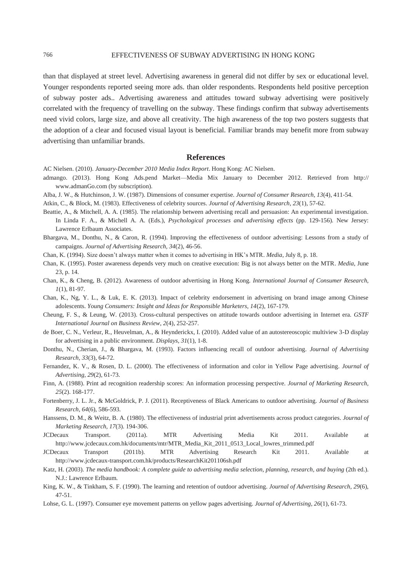#### 766 EFFECTIVENESS OF SUBWAY ADVERTISING IN HONG KONG

than that displayed at street level. Advertising awareness in general did not differ by sex or educational level. Younger respondents reported seeing more ads. than older respondents. Respondents held positive perception of subway poster ads.. Advertising awareness and attitudes toward subway advertising were positively correlated with the frequency of travelling on the subway. These findings confirm that subway advertisements need vivid colors, large size, and above all creativity. The high awareness of the top two posters suggests that the adoption of a clear and focused visual layout is beneficial. Familiar brands may benefit more from subway advertising than unfamiliar brands.

## **References**

- AC Nielsen. (2010). *January-December 2010 Media Index Report*. Hong Kong: AC Nielsen.
- admango. (2013). Hong Kong Ads.pend Market—Media Mix January to December 2012. Retrieved from http:// www.admanGo.com (by subscription).
- Alba, J. W., & Hutchinson, J. W. (1987). Dimensions of consumer expertise. *Journal of Consumer Research, 13*(4), 411-54.
- Atkin, C., & Block, M. (1983). Effectiveness of celebrity sources. *Journal of Advertising Research, 23*(1), 57-62.
- Beattie, A., & Mitchell, A. A. (1985). The relationship between advertising recall and persuasion: An experimental investigation. In Linda F. A., & Michell A. A. (Eds.), *Psychological processes and advertising effects* (pp. 129-156)*.* New Jersey: Lawrence Erlbaum Associates.
- Bhargava, M., Donthu, N., & Caron, R. (1994). Improving the effectiveness of outdoor advertising: Lessons from a study of campaigns. *Journal of Advertising Research, 34*(2), 46-56.
- Chan, K. (1994). Size doesn't always matter when it comes to advertising in HK's MTR. *Media*, July 8, p. 18.
- Chan, K. (1995). Poster awareness depends very much on creative execution: Big is not always better on the MTR. *Media*, June 23, p. 14.
- Chan, K., & Cheng, B. (2012). Awareness of outdoor advertising in Hong Kong. *International Journal of Consumer Research, 1*(1), 81-97.
- Chan, K., Ng, Y. L., & Luk, E. K. (2013). Impact of celebrity endorsement in advertising on brand image among Chinese adolescents. *Young Consumers: Insight and Ideas for Responsible Marketers, 14*(2), 167-179.
- Cheung, F. S., & Leung, W. (2013). Cross-cultural perspectives on attitude towards outdoor advertising in Internet era. *GSTF International Journal on Business Review, 2*(4), 252-257.
- de Boer, C. N., Verleur, R., Heuvelman, A., & Heynderickx, I. (2010). Added value of an autostereoscopic multiview 3-D display for advertising in a public environment. *Displays, 31*(1), 1-8.
- Donthu, N., Cherian, J., & Bhargava, M. (1993). Factors influencing recall of outdoor advertising. *Journal of Advertising Research, 33*(3), 64-72.
- Fernandez, K. V., & Rosen, D. L. (2000). The effectiveness of information and color in Yellow Page advertising. *Journal of Advertising, 29*(2), 61-73.
- Finn, A. (1988). Print ad recognition readership scores: An information processing perspective. *Journal of Marketing Research, 25*(2). 168-177.
- Fortenberry, J. L. Jr., & McGoldrick, P. J. (2011). Receptiveness of Black Americans to outdoor advertising. *Journal of Business Research, 64*(6), 586-593.
- Hanssens, D. M., & Weitz, B. A. (1980). The effectiveness of industrial print advertisements across product categories. *Journal of Marketing Research, 17*(3). 194-306.
- JCDecaux Transport. (2011a). MTR Advertising Media Kit 2011. Available at http://www.jcdecaux.com.hk/documents/mtr/MTR\_Media\_Kit\_2011\_0513\_Local\_lowres\_trimmed.pdf
- JCDecaux Transport (2011b). MTR Advertising Research Kit 2011. Available at http://www.jcdecaux-transport.com.hk/products/ResearchKit201106sh.pdf
- Katz, H. (2003). *The media handbook: A complete guide to advertising media selection, planning, research, and buying (2th ed.).* N.J.: Lawrence Erlbaum.
- King, K. W., & Tinkham, S. F. (1990). The learning and retention of outdoor advertising. *Journal of Advertising Research, 29*(6), 47-51.
- Lohse, G. L. (1997). Consumer eye movement patterns on yellow pages advertising. *Journal of Advertising, 26*(1), 61-73.